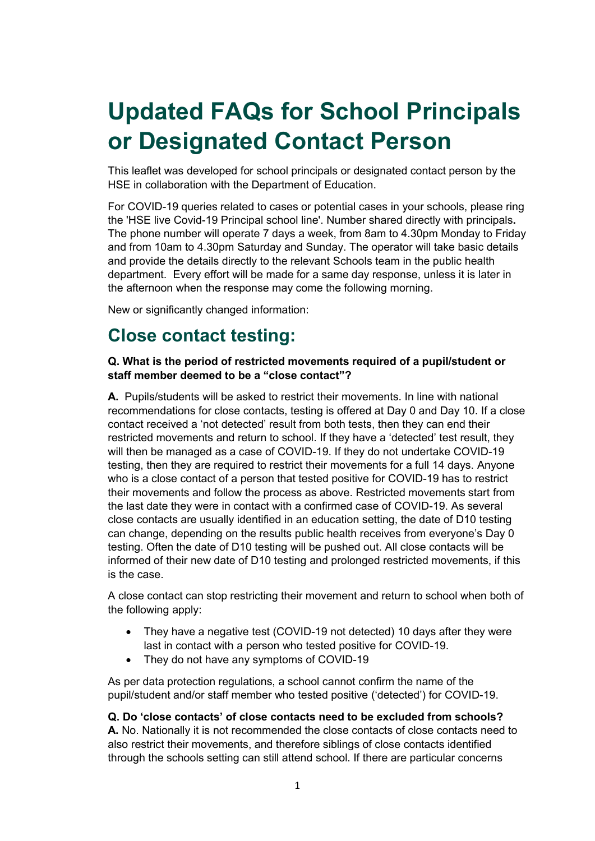# **Updated FAQs for School Principals or Designated Contact Person**

This leaflet was developed for school principals or designated contact person by the HSE in collaboration with the Department of Education.

For COVID-19 queries related to cases or potential cases in your schools, please ring the 'HSE live Covid-19 Principal school line'. Number shared directly with principals**.**  The phone number will operate 7 days a week, from 8am to 4.30pm Monday to Friday and from 10am to 4.30pm Saturday and Sunday. The operator will take basic details and provide the details directly to the relevant Schools team in the public health department. Every effort will be made for a same day response, unless it is later in the afternoon when the response may come the following morning.

New or significantly changed information:

### **Close contact testing:**

**Q. What is the period of restricted movements required of a pupil/student or staff member deemed to be a "close contact"?**

**A.** Pupils/students will be asked to restrict their movements. In line with national recommendations for close contacts, testing is offered at Day 0 and Day 10. If a close contact received a 'not detected' result from both tests, then they can end their restricted movements and return to school. If they have a 'detected' test result, they will then be managed as a case of COVID-19. If they do not undertake COVID-19 testing, then they are required to restrict their movements for a full 14 days. Anyone who is a close contact of a person that tested positive for COVID-19 has to restrict their movements and follow the process as above. Restricted movements start from the last date they were in contact with a confirmed case of COVID-19. As several close contacts are usually identified in an education setting, the date of D10 testing can change, depending on the results public health receives from everyone's Day 0 testing. Often the date of D10 testing will be pushed out. All close contacts will be informed of their new date of D10 testing and prolonged restricted movements, if this is the case.

A close contact can stop restricting their movement and return to school when both of the following apply:

- They have a negative test (COVID-19 not detected) 10 days after they were last in contact with a person who tested positive for COVID-19.
- They do not have any symptoms of COVID-19

As per data protection regulations, a school cannot confirm the name of the pupil/student and/or staff member who tested positive ('detected') for COVID-19.

#### **Q. Do 'close contacts' of close contacts need to be excluded from schools?**

**A.** No. Nationally it is not recommended the close contacts of close contacts need to also restrict their movements, and therefore siblings of close contacts identified through the schools setting can still attend school. If there are particular concerns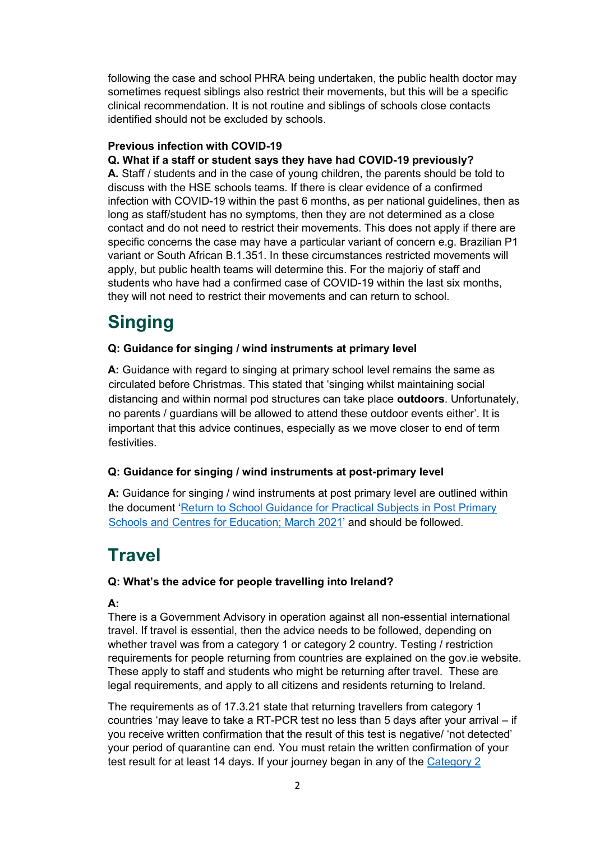following the case and school PHRA being undertaken, the public health doctor may sometimes request siblings also restrict their movements, but this will be a specific clinical recommendation. It is not routine and siblings of schools close contacts identified should not be excluded by schools.

#### **Previous infection with COVID-19**

#### **Q. What if a staff or student says they have had COVID-19 previously?**

**A.** Staff / students and in the case of young children, the parents should be told to discuss with the HSE schools teams. If there is clear evidence of a confirmed infection with COVID-19 within the past 6 months, as per national guidelines, then as long as staff/student has no symptoms, then they are not determined as a close contact and do not need to restrict their movements. This does not apply if there are specific concerns the case may have a particular variant of concern e.g. Brazilian P1 variant or South African B.1.351. In these circumstances restricted movements will apply, but public health teams will determine this. For the majoriy of staff and students who have had a confirmed case of COVID-19 within the last six months, they will not need to restrict their movements and can return to school.

### **Singing**

#### **Q: Guidance for singing / wind instruments at primary level**

**A:** Guidance with regard to singing at primary school level remains the same as circulated before Christmas. This stated that 'singing whilst maintaining social distancing and within normal pod structures can take place **outdoors**. Unfortunately, no parents / guardians will be allowed to attend these outdoor events either'. It is important that this advice continues, especially as we move closer to end of term festivities.

#### **Q: Guidance for singing / wind instruments at post-primary level**

**A:** Guidance for singing / wind instruments at post primary level are outlined within the document '[Return to School Guidance for Practical Subjects in Post Primary](https://assets.gov.ie/85594/17fe45af-dc43-470d-90b5-3d6d2f82d66e.pdf)  [Schools and Centres for Education; March 2021](https://assets.gov.ie/85594/17fe45af-dc43-470d-90b5-3d6d2f82d66e.pdf)' and should be followed.

# **Travel**

#### **Q: What's the advice for people travelling into Ireland?**

#### **A:**

There is a Government Advisory in operation against all non-essential international travel. If travel is essential, then the advice needs to be followed, depending on whether travel was from a category 1 or category 2 country. Testing / restriction requirements for people returning from countries are explained on the gov.ie website. These apply to staff and students who might be returning after travel. These are legal requirements, and apply to all citizens and residents returning to Ireland.

The requirements as of 17.3.21 state that returning travellers from category 1 countries 'may leave to take a RT-PCR test no less than 5 days after your arrival – if you receive written confirmation that the result of this test is negative/ 'not detected' your period of quarantine can end. You must retain the written confirmation of your test result for at least 14 days. If your journey began in any of the [Category 2](https://www.gov.ie/en/publication/b4020-travelling-to-ireland-during-the-covid-19-pandemic/#what-to-do-if-you-travel-to-ireland-from-high-risk-category-2-countries)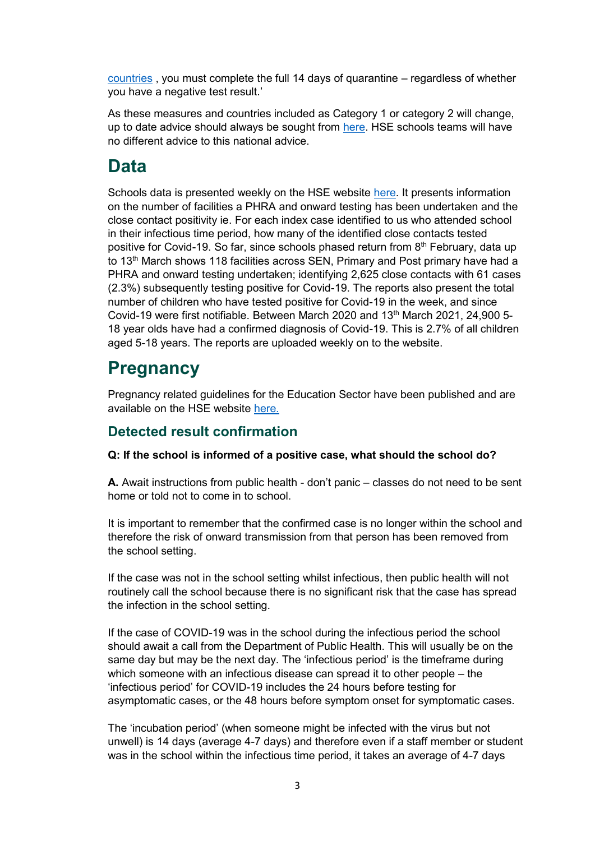[countries](https://www.gov.ie/en/publication/b4020-travelling-to-ireland-during-the-covid-19-pandemic/#what-to-do-if-you-travel-to-ireland-from-high-risk-category-2-countries) , you must complete the full 14 days of quarantine – regardless of whether you have a negative test result.'

As these measures and countries included as Category 1 or category 2 will change, up to date advice should always be sought from [here.](https://www.gov.ie/en/publication/b4020-travelling-to-ireland-during-the-covid-19-pandemic/) HSE schools teams will have no different advice to this national advice.

### **Data**

Schools data is presented weekly on the HSE website [here.](https://www.hse.ie/eng/services/news/newsfeatures/covid19-updates/covid-19-schools-mass-testing-report.html) It presents information on the number of facilities a PHRA and onward testing has been undertaken and the close contact positivity ie. For each index case identified to us who attended school in their infectious time period, how many of the identified close contacts tested positive for Covid-19. So far, since schools phased return from 8<sup>th</sup> February, data up to 13<sup>th</sup> March shows 118 facilities across SEN, Primary and Post primary have had a PHRA and onward testing undertaken; identifying 2,625 close contacts with 61 cases (2.3%) subsequently testing positive for Covid-19. The reports also present the total number of children who have tested positive for Covid-19 in the week, and since Covid-19 were first notifiable. Between March 2020 and 13<sup>th</sup> March 2021, 24,900 5-18 year olds have had a confirmed diagnosis of Covid-19. This is 2.7% of all children aged 5-18 years. The reports are uploaded weekly on to the website.

# **Pregnancy**

Pregnancy related guidelines for the Education Sector have been published and are available on the HSE website [here.](https://hse.drsteevenslibrary.ie/ld.php?content_id=33418414)

#### **Detected result confirmation**

#### **Q: If the school is informed of a positive case, what should the school do?**

**A.** Await instructions from public health - don't panic – classes do not need to be sent home or told not to come in to school.

It is important to remember that the confirmed case is no longer within the school and therefore the risk of onward transmission from that person has been removed from the school setting.

If the case was not in the school setting whilst infectious, then public health will not routinely call the school because there is no significant risk that the case has spread the infection in the school setting.

If the case of COVID-19 was in the school during the infectious period the school should await a call from the Department of Public Health. This will usually be on the same day but may be the next day. The 'infectious period' is the timeframe during which someone with an infectious disease can spread it to other people – the 'infectious period' for COVID-19 includes the 24 hours before testing for asymptomatic cases, or the 48 hours before symptom onset for symptomatic cases.

The 'incubation period' (when someone might be infected with the virus but not unwell) is 14 days (average 4-7 days) and therefore even if a staff member or student was in the school within the infectious time period, it takes an average of 4-7 days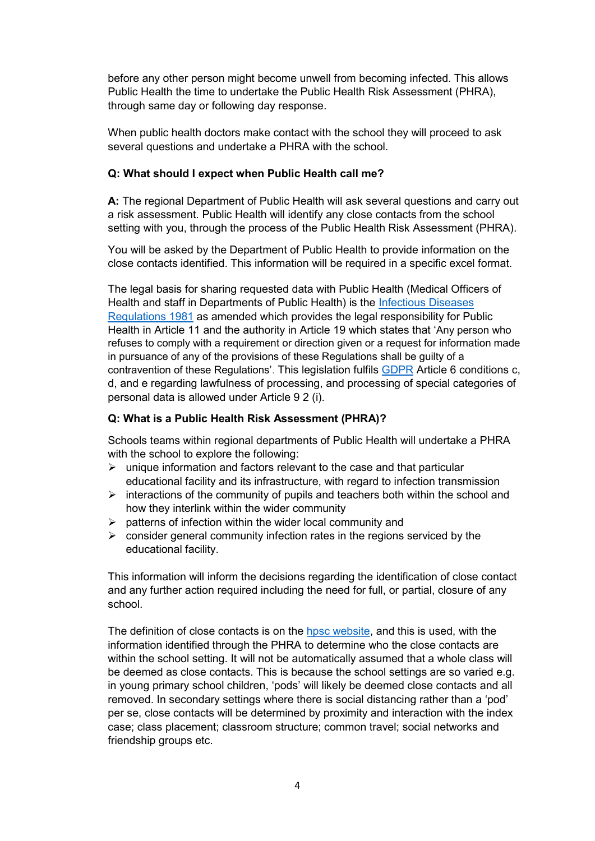before any other person might become unwell from becoming infected. This allows Public Health the time to undertake the Public Health Risk Assessment (PHRA), through same day or following day response.

When public health doctors make contact with the school they will proceed to ask several questions and undertake a PHRA with the school.

#### **Q: What should I expect when Public Health call me?**

**A:** The regional Department of Public Health will ask several questions and carry out a risk assessment. Public Health will identify any close contacts from the school setting with you, through the process of the Public Health Risk Assessment (PHRA).

You will be asked by the Department of Public Health to provide information on the close contacts identified. This information will be required in a specific excel format.

The legal basis for sharing requested data with Public Health (Medical Officers of Health and staff in Departments of Public Health) is the [Infectious Diseases](http://www.irishstatutebook.ie/eli/1981/si/390/made/en/print#:~:text=The%20Regulations%20provide%20for%20the,favour%20the%20spread%20of%20infection.)  [Regulations 1981](http://www.irishstatutebook.ie/eli/1981/si/390/made/en/print#:~:text=The%20Regulations%20provide%20for%20the,favour%20the%20spread%20of%20infection.) as amended which provides the legal responsibility for Public Health in Article 11 and the authority in Article 19 which states that 'Any person who refuses to comply with a requirement or direction given or a request for information made in pursuance of any of the provisions of these Regulations shall be guilty of a contravention of these Regulations'. This legislation fulfils [GDPR](https://eur-lex.europa.eu/legal-content/EN/TXT/PDF/?uri=CELEX:32016R0679&from=EN) Article 6 conditions c, d, and e regarding lawfulness of processing, and processing of special categories of personal data is allowed under Article 9 2 (i).

#### **Q: What is a Public Health Risk Assessment (PHRA)?**

Schools teams within regional departments of Public Health will undertake a PHRA with the school to explore the following:

- $\triangleright$  unique information and factors relevant to the case and that particular educational facility and its infrastructure, with regard to infection transmission
- $\triangleright$  interactions of the community of pupils and teachers both within the school and how they interlink within the wider community
- $\triangleright$  patterns of infection within the wider local community and
- $\triangleright$  consider general community infection rates in the regions serviced by the educational facility.

This information will inform the decisions regarding the identification of close contact and any further action required including the need for full, or partial, closure of any school.

The definition of close contacts is on the [hpsc website,](https://www.hpsc.ie/a-z/respiratory/coronavirus/novelcoronavirus/casedefinitions/covid-19educationalsettingscasesandclosecontactsdefinitions/#:~:text=Close%20contacts%20definition%3A,minutes%20in%20a%20school%20day.) and this is used, with the information identified through the PHRA to determine who the close contacts are within the school setting. It will not be automatically assumed that a whole class will be deemed as close contacts. This is because the school settings are so varied e.g. in young primary school children, 'pods' will likely be deemed close contacts and all removed. In secondary settings where there is social distancing rather than a 'pod' per se, close contacts will be determined by proximity and interaction with the index case; class placement; classroom structure; common travel; social networks and friendship groups etc.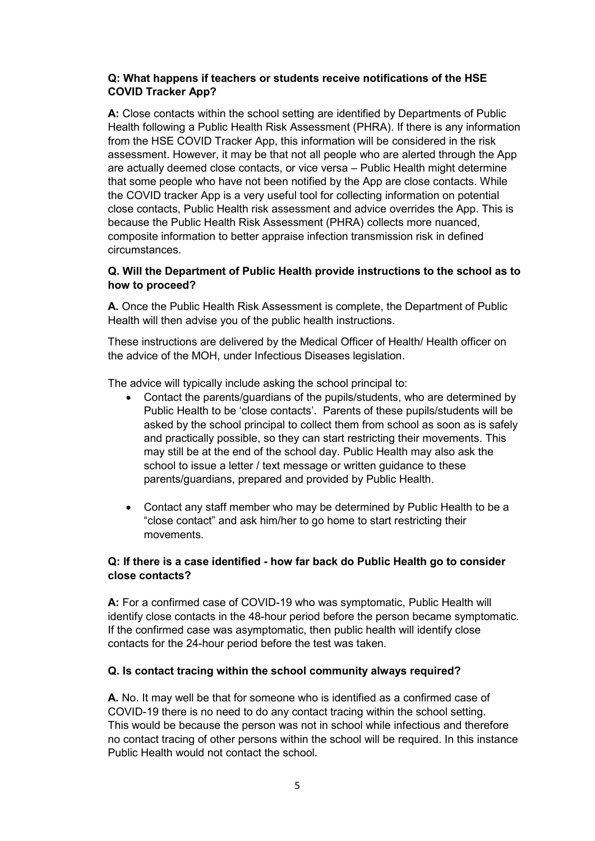#### **Q: What happens if teachers or students receive notifications of the HSE COVID Tracker App?**

**A:** Close contacts within the school setting are identified by Departments of Public Health following a Public Health Risk Assessment (PHRA). If there is any information from the HSE COVID Tracker App, this information will be considered in the risk assessment. However, it may be that not all people who are alerted through the App are actually deemed close contacts, or vice versa – Public Health might determine that some people who have not been notified by the App are close contacts. While the COVID tracker App is a very useful tool for collecting information on potential close contacts, Public Health risk assessment and advice overrides the App. This is because the Public Health Risk Assessment (PHRA) collects more nuanced, composite information to better appraise infection transmission risk in defined circumstances.

#### **Q. Will the Department of Public Health provide instructions to the school as to how to proceed?**

**A.** Once the Public Health Risk Assessment is complete, the Department of Public Health will then advise you of the public health instructions.

These instructions are delivered by the Medical Officer of Health/ Health officer on the advice of the MOH, under Infectious Diseases legislation.

The advice will typically include asking the school principal to:

- Contact the parents/guardians of the pupils/students, who are determined by Public Health to be 'close contacts'. Parents of these pupils/students will be asked by the school principal to collect them from school as soon as is safely and practically possible, so they can start restricting their movements. This may still be at the end of the school day. Public Health may also ask the school to issue a letter / text message or written guidance to these parents/guardians, prepared and provided by Public Health.
- Contact any staff member who may be determined by Public Health to be a "close contact" and ask him/her to go home to start restricting their movements.

#### **Q: If there is a case identified - how far back do Public Health go to consider close contacts?**

**A:** For a confirmed case of COVID-19 who was symptomatic, Public Health will identify close contacts in the 48-hour period before the person became symptomatic. If the confirmed case was asymptomatic, then public health will identify close contacts for the 24-hour period before the test was taken.

#### **Q. Is contact tracing within the school community always required?**

**A.** No. It may well be that for someone who is identified as a confirmed case of COVID-19 there is no need to do any contact tracing within the school setting. This would be because the person was not in school while infectious and therefore no contact tracing of other persons within the school will be required. In this instance Public Health would not contact the school.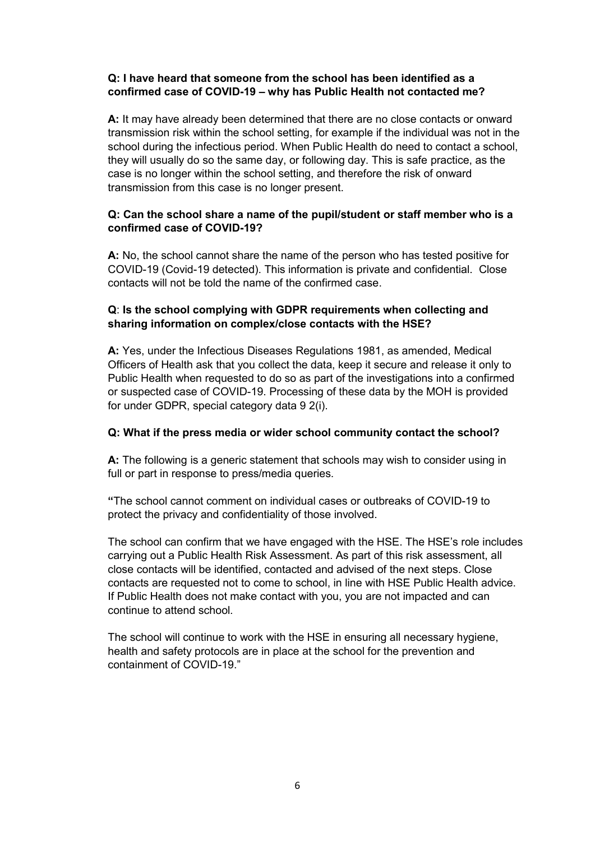#### **Q: I have heard that someone from the school has been identified as a confirmed case of COVID-19 – why has Public Health not contacted me?**

**A:** It may have already been determined that there are no close contacts or onward transmission risk within the school setting, for example if the individual was not in the school during the infectious period. When Public Health do need to contact a school, they will usually do so the same day, or following day. This is safe practice, as the case is no longer within the school setting, and therefore the risk of onward transmission from this case is no longer present.

#### **Q: Can the school share a name of the pupil/student or staff member who is a confirmed case of COVID-19?**

**A:** No, the school cannot share the name of the person who has tested positive for COVID-19 (Covid-19 detected). This information is private and confidential. Close contacts will not be told the name of the confirmed case.

#### **Q**: **Is the school complying with GDPR requirements when collecting and sharing information on complex/close contacts with the HSE?**

**A:** Yes, under the Infectious Diseases Regulations 1981, as amended, Medical Officers of Health ask that you collect the data, keep it secure and release it only to Public Health when requested to do so as part of the investigations into a confirmed or suspected case of COVID-19. Processing of these data by the MOH is provided for under GDPR, special category data 9 2(i).

#### **Q: What if the press media or wider school community contact the school?**

**A:** The following is a generic statement that schools may wish to consider using in full or part in response to press/media queries.

**"**The school cannot comment on individual cases or outbreaks of COVID-19 to protect the privacy and confidentiality of those involved.

The school can confirm that we have engaged with the HSE. The HSE's role includes carrying out a Public Health Risk Assessment. As part of this risk assessment, all close contacts will be identified, contacted and advised of the next steps. Close contacts are requested not to come to school, in line with HSE Public Health advice. If Public Health does not make contact with you, you are not impacted and can continue to attend school.

The school will continue to work with the HSE in ensuring all necessary hygiene, health and safety protocols are in place at the school for the prevention and containment of COVID-19."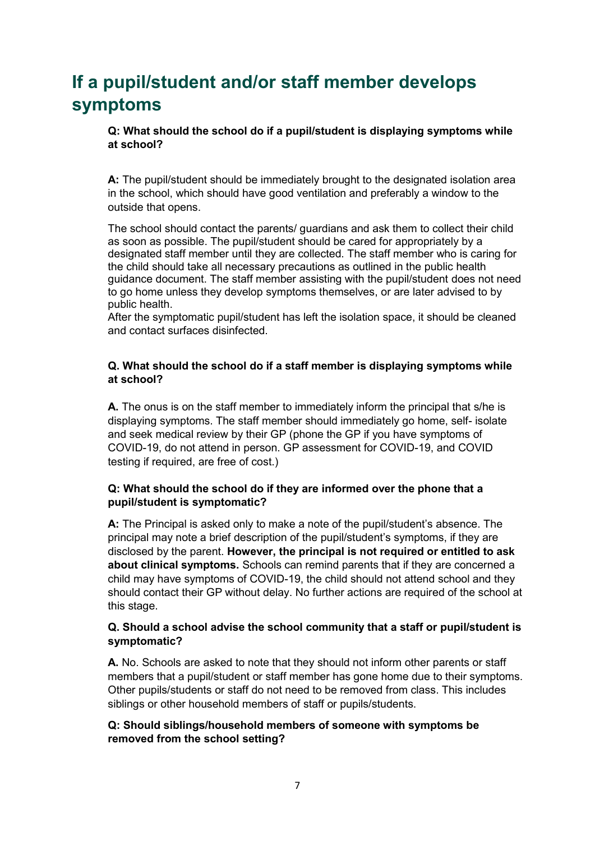# **If a pupil/student and/or staff member develops symptoms**

**Q: What should the school do if a pupil/student is displaying symptoms while at school?**

**A:** The pupil/student should be immediately brought to the designated isolation area in the school, which should have good ventilation and preferably a window to the outside that opens.

The school should contact the parents/ guardians and ask them to collect their child as soon as possible. The pupil/student should be cared for appropriately by a designated staff member until they are collected. The staff member who is caring for the child should take all necessary precautions as outlined in the public health guidance document. The staff member assisting with the pupil/student does not need to go home unless they develop symptoms themselves, or are later advised to by public health.

After the symptomatic pupil/student has left the isolation space, it should be cleaned and contact surfaces disinfected.

#### **Q. What should the school do if a staff member is displaying symptoms while at school?**

**A.** The onus is on the staff member to immediately inform the principal that s/he is displaying symptoms. The staff member should immediately go home, self- isolate and seek medical review by their GP (phone the GP if you have symptoms of COVID-19, do not attend in person. GP assessment for COVID-19, and COVID testing if required, are free of cost.)

#### **Q: What should the school do if they are informed over the phone that a pupil/student is symptomatic?**

**A:** The Principal is asked only to make a note of the pupil/student's absence. The principal may note a brief description of the pupil/student's symptoms, if they are disclosed by the parent. **However, the principal is not required or entitled to ask about clinical symptoms.** Schools can remind parents that if they are concerned a child may have symptoms of COVID-19, the child should not attend school and they should contact their GP without delay. No further actions are required of the school at this stage.

#### **Q. Should a school advise the school community that a staff or pupil/student is symptomatic?**

**A.** No. Schools are asked to note that they should not inform other parents or staff members that a pupil/student or staff member has gone home due to their symptoms. Other pupils/students or staff do not need to be removed from class. This includes siblings or other household members of staff or pupils/students.

#### **Q: Should siblings/household members of someone with symptoms be removed from the school setting?**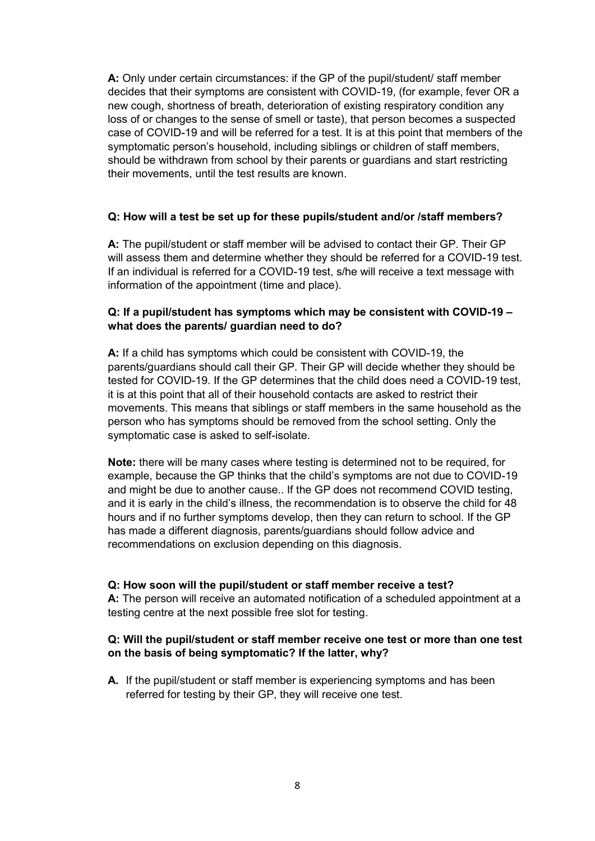**A:** Only under certain circumstances: if the GP of the pupil/student/ staff member decides that their symptoms are consistent with COVID-19, (for example, fever OR a new cough, shortness of breath, deterioration of existing respiratory condition any loss of or changes to the sense of smell or taste), that person becomes a suspected case of COVID-19 and will be referred for a test. It is at this point that members of the symptomatic person's household, including siblings or children of staff members, should be withdrawn from school by their parents or guardians and start restricting their movements, until the test results are known.

#### **Q: How will a test be set up for these pupils/student and/or /staff members?**

**A:** The pupil/student or staff member will be advised to contact their GP. Their GP will assess them and determine whether they should be referred for a COVID-19 test. If an individual is referred for a COVID-19 test, s/he will receive a text message with information of the appointment (time and place).

#### **Q: If a pupil/student has symptoms which may be consistent with COVID-19 – what does the parents/ guardian need to do?**

**A:** If a child has symptoms which could be consistent with COVID-19, the parents/guardians should call their GP. Their GP will decide whether they should be tested for COVID-19. If the GP determines that the child does need a COVID-19 test, it is at this point that all of their household contacts are asked to restrict their movements. This means that siblings or staff members in the same household as the person who has symptoms should be removed from the school setting. Only the symptomatic case is asked to self-isolate.

**Note:** there will be many cases where testing is determined not to be required, for example, because the GP thinks that the child's symptoms are not due to COVID-19 and might be due to another cause.. If the GP does not recommend COVID testing, and it is early in the child's illness, the recommendation is to observe the child for 48 hours and if no further symptoms develop, then they can return to school. If the GP has made a different diagnosis, parents/guardians should follow advice and recommendations on exclusion depending on this diagnosis.

#### **Q: How soon will the pupil/student or staff member receive a test?**

**A:** The person will receive an automated notification of a scheduled appointment at a testing centre at the next possible free slot for testing.

#### **Q: Will the pupil/student or staff member receive one test or more than one test on the basis of being symptomatic? If the latter, why?**

**A.** If the pupil/student or staff member is experiencing symptoms and has been referred for testing by their GP, they will receive one test.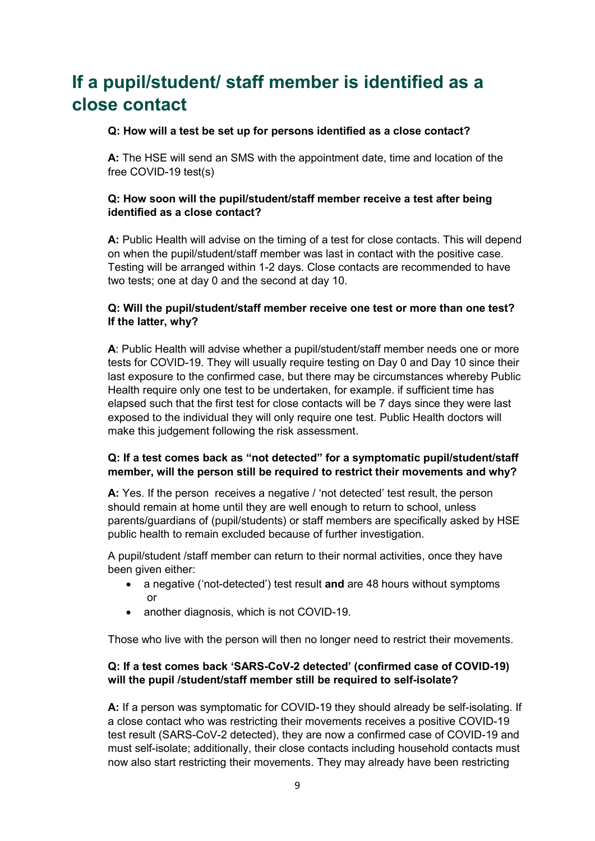# **If a pupil/student/ staff member is identified as a close contact**

#### **Q: How will a test be set up for persons identified as a close contact?**

**A:** The HSE will send an SMS with the appointment date, time and location of the free COVID-19 test(s)

#### **Q: How soon will the pupil/student/staff member receive a test after being identified as a close contact?**

**A:** Public Health will advise on the timing of a test for close contacts. This will depend on when the pupil/student/staff member was last in contact with the positive case. Testing will be arranged within 1-2 days. Close contacts are recommended to have two tests; one at day 0 and the second at day 10.

#### **Q: Will the pupil/student/staff member receive one test or more than one test? If the latter, why?**

**A**: Public Health will advise whether a pupil/student/staff member needs one or more tests for COVID-19. They will usually require testing on Day 0 and Day 10 since their last exposure to the confirmed case, but there may be circumstances whereby Public Health require only one test to be undertaken, for example. if sufficient time has elapsed such that the first test for close contacts will be 7 days since they were last exposed to the individual they will only require one test. Public Health doctors will make this judgement following the risk assessment.

#### **Q: If a test comes back as "not detected" for a symptomatic pupil/student/staff member, will the person still be required to restrict their movements and why?**

**A:** Yes. If the person receives a negative / 'not detected' test result, the person should remain at home until they are well enough to return to school, unless parents/guardians of (pupil/students) or staff members are specifically asked by HSE public health to remain excluded because of further investigation.

A pupil/student /staff member can return to their normal activities, once they have been given either:

- a negative ('not-detected') test result **and** are 48 hours without symptoms or
- another diagnosis, which is not COVID-19.

Those who live with the person will then no longer need to restrict their movements.

#### **Q: If a test comes back 'SARS-CoV-2 detected' (confirmed case of COVID-19) will the pupil /student/staff member still be required to self-isolate?**

**A:** If a person was symptomatic for COVID-19 they should already be self-isolating. If a close contact who was restricting their movements receives a positive COVID-19 test result (SARS-CoV-2 detected), they are now a confirmed case of COVID-19 and must self-isolate; additionally, their close contacts including household contacts must now also start restricting their movements. They may already have been restricting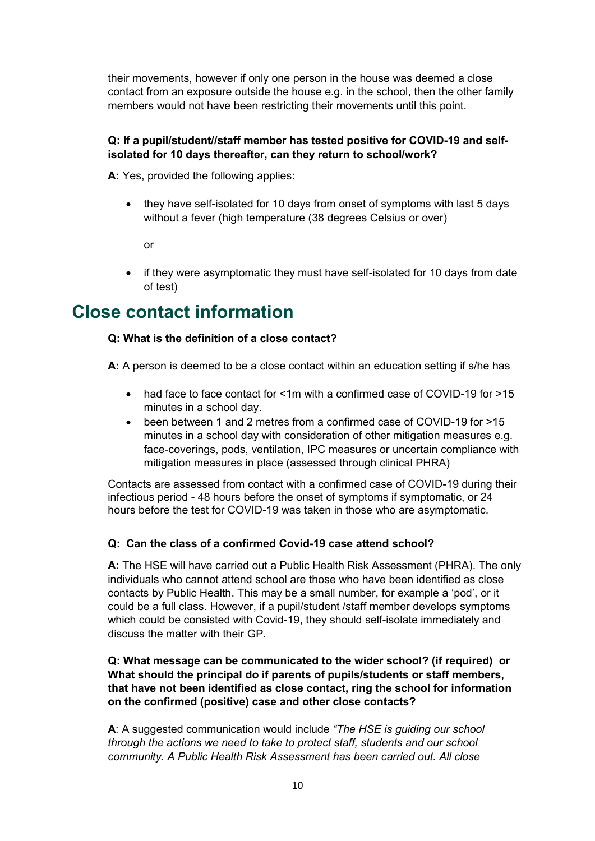their movements, however if only one person in the house was deemed a close contact from an exposure outside the house e.g. in the school, then the other family members would not have been restricting their movements until this point.

#### **Q: If a pupil/student//staff member has tested positive for COVID-19 and selfisolated for 10 days thereafter, can they return to school/work?**

**A:** Yes, provided the following applies:

 they have self-isolated for 10 days from onset of symptoms with last 5 days without a fever (high temperature (38 degrees Celsius or over)

 $\alpha$ r

• if they were asymptomatic they must have self-isolated for 10 days from date of test)

### **Close contact information**

#### **Q: What is the definition of a close contact?**

**A:** A person is deemed to be a close contact within an education setting if s/he has

- had face to face contact for <1m with a confirmed case of COVID-19 for >15 minutes in a school day.
- been between 1 and 2 metres from a confirmed case of COVID-19 for >15 minutes in a school day with consideration of other mitigation measures e.g. face-coverings, pods, ventilation, IPC measures or uncertain compliance with mitigation measures in place (assessed through clinical PHRA)

Contacts are assessed from contact with a confirmed case of COVID-19 during their infectious period - 48 hours before the onset of symptoms if symptomatic, or 24 hours before the test for COVID-19 was taken in those who are asymptomatic.

#### **Q: Can the class of a confirmed Covid-19 case attend school?**

**A:** The HSE will have carried out a Public Health Risk Assessment (PHRA). The only individuals who cannot attend school are those who have been identified as close contacts by Public Health. This may be a small number, for example a 'pod', or it could be a full class. However, if a pupil/student /staff member develops symptoms which could be consisted with Covid-19, they should self-isolate immediately and discuss the matter with their GP.

#### **Q: What message can be communicated to the wider school? (if required) or What should the principal do if parents of pupils/students or staff members, that have not been identified as close contact, ring the school for information on the confirmed (positive) case and other close contacts?**

**A**: A suggested communication would include *"The HSE is guiding our school through the actions we need to take to protect staff, students and our school community. A Public Health Risk Assessment has been carried out. All close*